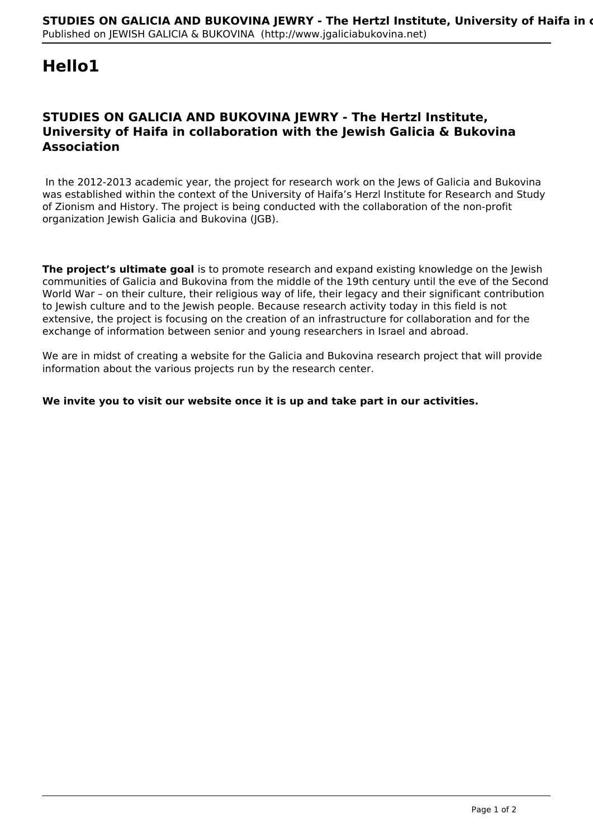## **Hello1**

## **STUDIES ON GALICIA AND BUKOVINA JEWRY - The Hertzl Institute, University of Haifa in collaboration with the Jewish Galicia & Bukovina Association**

 In the 2012-2013 academic year, the project for research work on the Jews of Galicia and Bukovina was established within the context of the University of Haifa's Herzl Institute for Research and Study of Zionism and History. The project is being conducted with the collaboration of the non-profit organization Jewish Galicia and Bukovina (JGB).

**The project's ultimate goal** is to promote research and expand existing knowledge on the lewish communities of Galicia and Bukovina from the middle of the 19th century until the eve of the Second World War – on their culture, their religious way of life, their legacy and their significant contribution to Jewish culture and to the Jewish people. Because research activity today in this field is not extensive, the project is focusing on the creation of an infrastructure for collaboration and for the exchange of information between senior and young researchers in Israel and abroad.

We are in midst of creating a website for the Galicia and Bukovina research project that will provide information about the various projects run by the research center.

## **We invite you to visit our website once it is up and take part in our activities.**